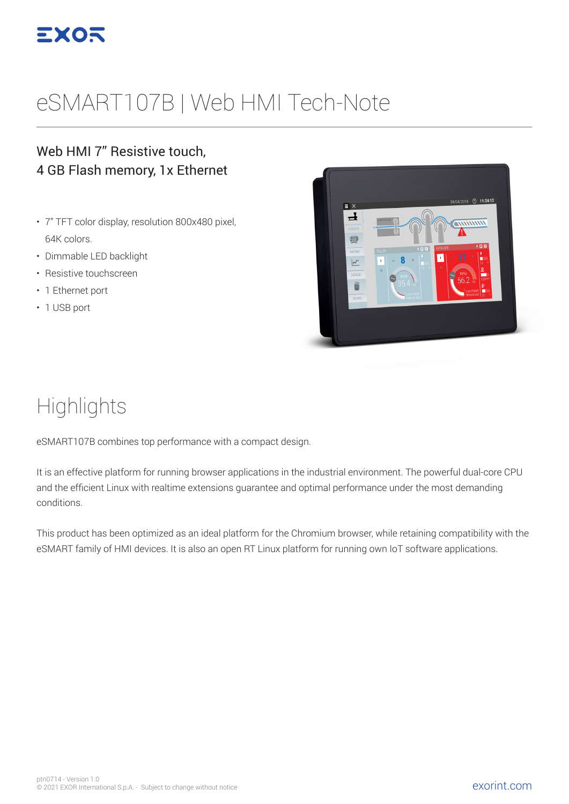

# eSMART107B | Web HMI Tech-Note

#### Web HMI 7" Resistive touch, 4 GB Flash memory, 1x Ethernet

- 7" TFT color display, resolution 800x480 pixel, 64K colors.
- Dimmable LED backlight
- Resistive touchscreen
- 1 Ethernet port
- 1 USB port



## **Highlights**

eSMART107B combines top performance with a compact design.

It is an effective platform for running browser applications in the industrial environment. The powerful dual-core CPU and the efficient Linux with realtime extensions guarantee and optimal performance under the most demanding conditions.

This product has been optimized as an ideal platform for the Chromium browser, while retaining compatibility with the eSMART family of HMI devices. It is also an open RT Linux platform for running own IoT software applications.